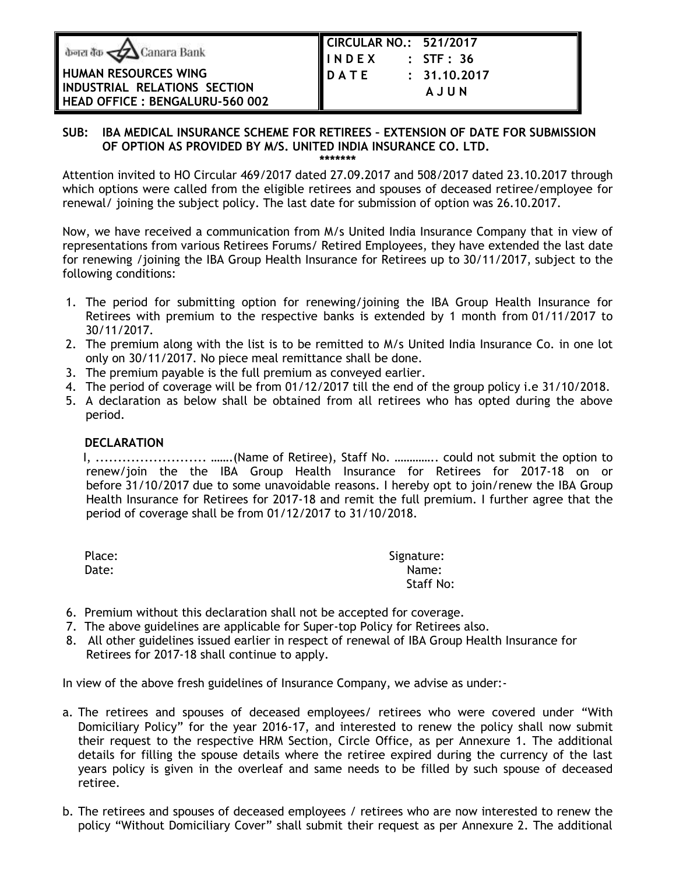|  | <b>b</b> जरा बैंक $\triangle$ Canara Bank |  |
|--|-------------------------------------------|--|
|  |                                           |  |

## **HUMAN RESOURCES WING INDUSTRIAL RELATIONS SECTION HEAD OFFICE : BENGALURU-560 002**

| CIRCULAR NO.: 521/2017 |                |
|------------------------|----------------|
| <b>I I N D E X</b>     | $:$ STF $:$ 36 |
| <b>IDATE</b>           | : 31.10.2017   |
|                        | AJUN           |
|                        |                |

# **SUB: IBA MEDICAL INSURANCE SCHEME FOR RETIREES – EXTENSION OF DATE FOR SUBMISSION OF OPTION AS PROVIDED BY M/S. UNITED INDIA INSURANCE CO. LTD.**

**\*\*\*\*\*\*\***

Attention invited to HO Circular 469/2017 dated 27.09.2017 and 508/2017 dated 23.10.2017 through which options were called from the eligible retirees and spouses of deceased retiree/employee for renewal/ joining the subject policy. The last date for submission of option was 26.10.2017.

Now, we have received a communication from M/s United India Insurance Company that in view of representations from various Retirees Forums/ Retired Employees, they have extended the last date for renewing /joining the IBA Group Health Insurance for Retirees up to 30/11/2017, subject to the following conditions:

- 1. The period for submitting option for renewing/joining the IBA Group Health Insurance for Retirees with premium to the respective banks is extended by 1 month from 01/11/2017 to 30/11/2017.
- 2. The premium along with the list is to be remitted to M/s United India Insurance Co. in one lot only on 30/11/2017. No piece meal remittance shall be done.
- 3. The premium payable is the full premium as conveyed earlier.
- 4. The period of coverage will be from 01/12/2017 till the end of the group policy i.e 31/10/2018.
- 5. A declaration as below shall be obtained from all retirees who has opted during the above period.

## **DECLARATION**

 I, ......................... …….(Name of Retiree), Staff No. ………….. could not submit the option to renew/join the the IBA Group Health Insurance for Retirees for 2017-18 on or before 31/10/2017 due to some unavoidable reasons. I hereby opt to join/renew the IBA Group Health Insurance for Retirees for 2017-18 and remit the full premium. I further agree that the period of coverage shall be from 01/12/2017 to 31/10/2018.

| Place: | Signature:       |
|--------|------------------|
| Date:  | Name:            |
|        | <b>Staff No:</b> |

- 6. Premium without this declaration shall not be accepted for coverage.
- 7. The above guidelines are applicable for Super-top Policy for Retirees also.
- 8. All other guidelines issued earlier in respect of renewal of IBA Group Health Insurance for Retirees for 2017-18 shall continue to apply.

In view of the above fresh guidelines of Insurance Company, we advise as under:-

- a. The retirees and spouses of deceased employees/ retirees who were covered under "With Domiciliary Policy" for the year 2016-17, and interested to renew the policy shall now submit their request to the respective HRM Section, Circle Office, as per Annexure 1. The additional details for filling the spouse details where the retiree expired during the currency of the last years policy is given in the overleaf and same needs to be filled by such spouse of deceased retiree.
- b. The retirees and spouses of deceased employees / retirees who are now interested to renew the policy "Without Domiciliary Cover" shall submit their request as per Annexure 2. The additional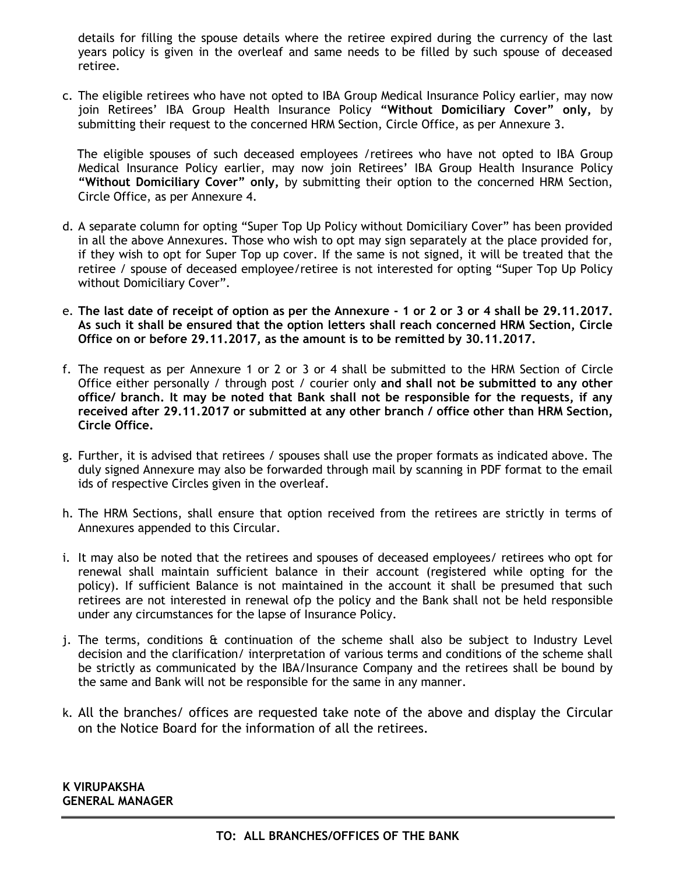details for filling the spouse details where the retiree expired during the currency of the last years policy is given in the overleaf and same needs to be filled by such spouse of deceased retiree.

c. The eligible retirees who have not opted to IBA Group Medical Insurance Policy earlier, may now join Retirees' IBA Group Health Insurance Policy **"Without Domiciliary Cover" only,** by submitting their request to the concerned HRM Section, Circle Office, as per Annexure 3.

 The eligible spouses of such deceased employees /retirees who have not opted to IBA Group Medical Insurance Policy earlier, may now join Retirees' IBA Group Health Insurance Policy **"Without Domiciliary Cover" only,** by submitting their option to the concerned HRM Section, Circle Office, as per Annexure 4.

- d. A separate column for opting "Super Top Up Policy without Domiciliary Cover" has been provided in all the above Annexures. Those who wish to opt may sign separately at the place provided for, if they wish to opt for Super Top up cover. If the same is not signed, it will be treated that the retiree / spouse of deceased employee/retiree is not interested for opting "Super Top Up Policy without Domiciliary Cover".
- e. **The last date of receipt of option as per the Annexure - 1 or 2 or 3 or 4 shall be 29.11.2017. As such it shall be ensured that the option letters shall reach concerned HRM Section, Circle Office on or before 29.11.2017, as the amount is to be remitted by 30.11.2017.**
- f. The request as per Annexure 1 or 2 or 3 or 4 shall be submitted to the HRM Section of Circle Office either personally / through post / courier only **and shall not be submitted to any other office/ branch. It may be noted that Bank shall not be responsible for the requests, if any received after 29.11.2017 or submitted at any other branch / office other than HRM Section, Circle Office.**
- g. Further, it is advised that retirees / spouses shall use the proper formats as indicated above. The duly signed Annexure may also be forwarded through mail by scanning in PDF format to the email ids of respective Circles given in the overleaf.
- h. The HRM Sections, shall ensure that option received from the retirees are strictly in terms of Annexures appended to this Circular.
- i. It may also be noted that the retirees and spouses of deceased employees/ retirees who opt for renewal shall maintain sufficient balance in their account (registered while opting for the policy). If sufficient Balance is not maintained in the account it shall be presumed that such retirees are not interested in renewal ofp the policy and the Bank shall not be held responsible under any circumstances for the lapse of Insurance Policy.
- j. The terms, conditions & continuation of the scheme shall also be subject to Industry Level decision and the clarification/ interpretation of various terms and conditions of the scheme shall be strictly as communicated by the IBA/Insurance Company and the retirees shall be bound by the same and Bank will not be responsible for the same in any manner.
- k. All the branches/ offices are requested take note of the above and display the Circular on the Notice Board for the information of all the retirees.

**K VIRUPAKSHA GENERAL MANAGER**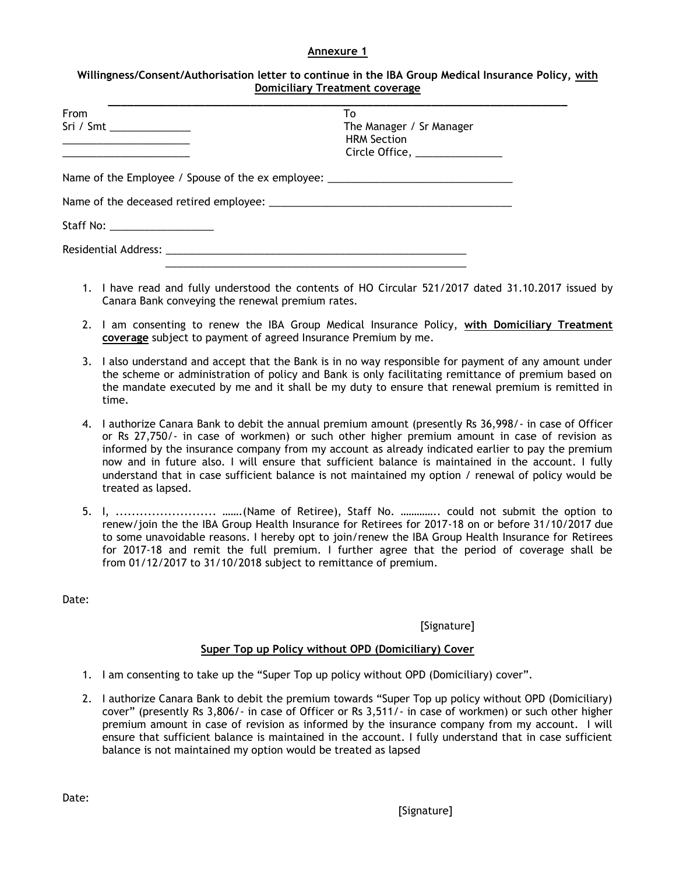#### **Annexure 1**

| Willingness/Consent/Authorisation letter to continue in the IBA Group Medical Insurance Policy, with |
|------------------------------------------------------------------------------------------------------|
| <b>Domiciliary Treatment coverage</b>                                                                |

| From                                                                                                                  | To                            |  |
|-----------------------------------------------------------------------------------------------------------------------|-------------------------------|--|
|                                                                                                                       | The Manager / Sr Manager      |  |
|                                                                                                                       | <b>HRM Section</b>            |  |
| <u> 1989 - Johann John Stone, markin amerikan bisa di sebagai personal dan personal dan personal dan personal dan</u> | Circle Office, ______________ |  |
| Name of the Employee / Spouse of the ex employee: ______________________________                                      |                               |  |
|                                                                                                                       |                               |  |
| Staff No: _____________________                                                                                       |                               |  |
|                                                                                                                       |                               |  |
|                                                                                                                       |                               |  |

- 1. I have read and fully understood the contents of HO Circular 521/2017 dated 31.10.2017 issued by Canara Bank conveying the renewal premium rates.
- 2. I am consenting to renew the IBA Group Medical Insurance Policy, **with Domiciliary Treatment coverage** subject to payment of agreed Insurance Premium by me.
- 3. I also understand and accept that the Bank is in no way responsible for payment of any amount under the scheme or administration of policy and Bank is only facilitating remittance of premium based on the mandate executed by me and it shall be my duty to ensure that renewal premium is remitted in time.
- 4. I authorize Canara Bank to debit the annual premium amount (presently Rs 36,998/- in case of Officer or Rs 27,750/- in case of workmen) or such other higher premium amount in case of revision as informed by the insurance company from my account as already indicated earlier to pay the premium now and in future also. I will ensure that sufficient balance is maintained in the account. I fully understand that in case sufficient balance is not maintained my option / renewal of policy would be treated as lapsed.
- 5. I, ......................... …….(Name of Retiree), Staff No. ………….. could not submit the option to renew/join the the IBA Group Health Insurance for Retirees for 2017-18 on or before 31/10/2017 due to some unavoidable reasons. I hereby opt to join/renew the IBA Group Health Insurance for Retirees for 2017-18 and remit the full premium. I further agree that the period of coverage shall be from 01/12/2017 to 31/10/2018 subject to remittance of premium.

Date:

[Signature]

#### **Super Top up Policy without OPD (Domiciliary) Cover**

- 1. I am consenting to take up the "Super Top up policy without OPD (Domiciliary) cover".
- 2. I authorize Canara Bank to debit the premium towards "Super Top up policy without OPD (Domiciliary) cover" (presently Rs 3,806/- in case of Officer or Rs 3,511/- in case of workmen) or such other higher premium amount in case of revision as informed by the insurance company from my account. I will ensure that sufficient balance is maintained in the account. I fully understand that in case sufficient balance is not maintained my option would be treated as lapsed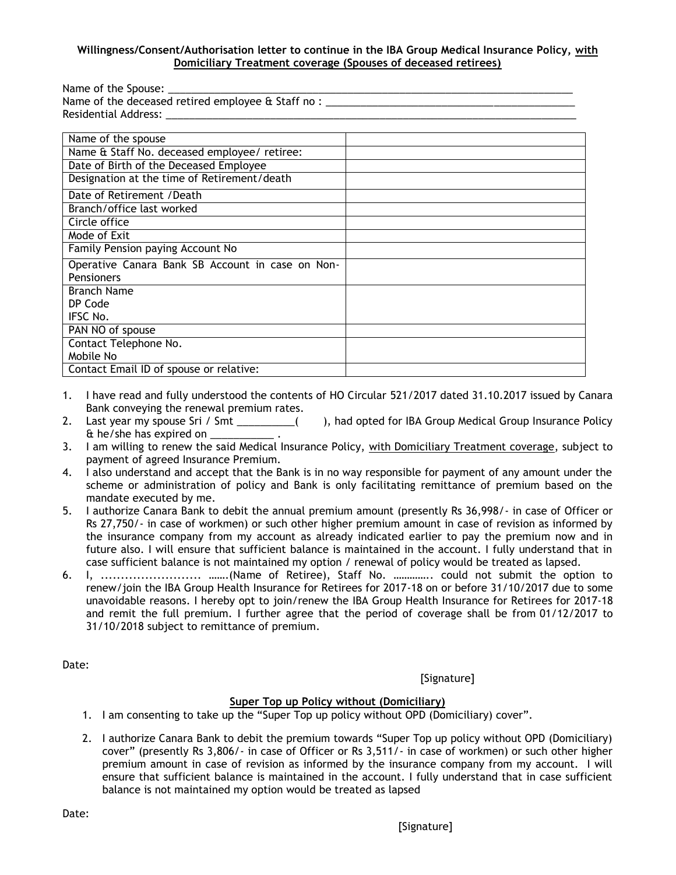#### **Willingness/Consent/Authorisation letter to continue in the IBA Group Medical Insurance Policy, with Domiciliary Treatment coverage (Spouses of deceased retirees)**

| Name of the Spouse: __________                               |  |  |  |
|--------------------------------------------------------------|--|--|--|
| Name of the deceased retired employee & Staff no : _________ |  |  |  |
| Residential Address: Nessidential                            |  |  |  |
|                                                              |  |  |  |
| Name of the spouse                                           |  |  |  |
| Name & Staff No. deceased employee/ retiree:                 |  |  |  |
| Date of Birth of the Deceased Employee                       |  |  |  |
| Designation at the time of Retirement/death                  |  |  |  |
| Date of Retirement / Death                                   |  |  |  |
| Branch/office last worked                                    |  |  |  |
| Circle office                                                |  |  |  |
| Mode of Exit                                                 |  |  |  |
| Family Pension paying Account No                             |  |  |  |
| Operative Canara Bank SB Account in case on Non-             |  |  |  |
| Pensioners                                                   |  |  |  |
| <b>Branch Name</b>                                           |  |  |  |
| DP Code                                                      |  |  |  |
| IFSC No.                                                     |  |  |  |
| PAN NO of spouse                                             |  |  |  |
| Contact Telephone No.                                        |  |  |  |
| Mobile No                                                    |  |  |  |
| Contact Email ID of spouse or relative:                      |  |  |  |

- 1. I have read and fully understood the contents of HO Circular 521/2017 dated 31.10.2017 issued by Canara Bank conveying the renewal premium rates.
- 2. Last year my spouse Sri / Smt \_\_\_\_\_\_\_\_\_\_( ), had opted for IBA Group Medical Group Insurance Policy  $\&$  he/she has expired on  $\__$
- 3. I am willing to renew the said Medical Insurance Policy, with Domiciliary Treatment coverage, subject to payment of agreed Insurance Premium.
- 4. I also understand and accept that the Bank is in no way responsible for payment of any amount under the scheme or administration of policy and Bank is only facilitating remittance of premium based on the mandate executed by me.
- 5. I authorize Canara Bank to debit the annual premium amount (presently Rs 36,998/- in case of Officer or Rs 27,750/- in case of workmen) or such other higher premium amount in case of revision as informed by the insurance company from my account as already indicated earlier to pay the premium now and in future also. I will ensure that sufficient balance is maintained in the account. I fully understand that in case sufficient balance is not maintained my option / renewal of policy would be treated as lapsed.
- 6. I, ......................... …….(Name of Retiree), Staff No. ………….. could not submit the option to renew/join the IBA Group Health Insurance for Retirees for 2017-18 on or before 31/10/2017 due to some unavoidable reasons. I hereby opt to join/renew the IBA Group Health Insurance for Retirees for 2017-18 and remit the full premium. I further agree that the period of coverage shall be from 01/12/2017 to 31/10/2018 subject to remittance of premium.

Date:

[Signature]

### **Super Top up Policy without (Domiciliary)**

- 1. I am consenting to take up the "Super Top up policy without OPD (Domiciliary) cover".
- 2. I authorize Canara Bank to debit the premium towards "Super Top up policy without OPD (Domiciliary) cover" (presently Rs 3,806/- in case of Officer or Rs 3,511/- in case of workmen) or such other higher premium amount in case of revision as informed by the insurance company from my account. I will ensure that sufficient balance is maintained in the account. I fully understand that in case sufficient balance is not maintained my option would be treated as lapsed

Date: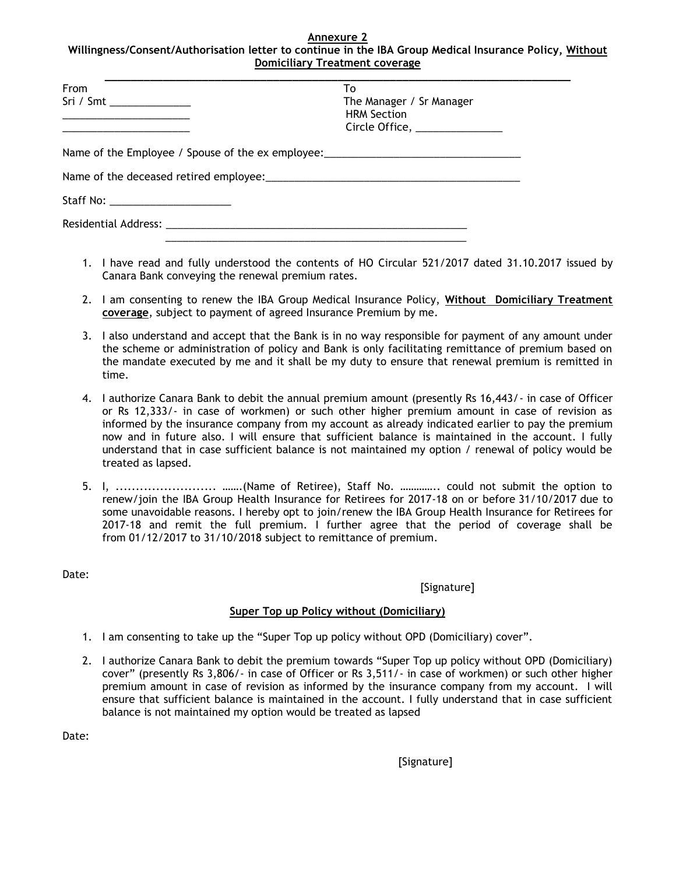#### **Annexure 2 Willingness/Consent/Authorisation letter to continue in the IBA Group Medical Insurance Policy, Without Domiciliary Treatment coverage**

| From                      | To                                                                               |  |
|---------------------------|----------------------------------------------------------------------------------|--|
| Sri / Smt _______________ | The Manager / Sr Manager                                                         |  |
|                           | <b>HRM Section</b><br>Circle Office, ______________                              |  |
|                           | Name of the Employee / Spouse of the ex employee: ______________________________ |  |
|                           |                                                                                  |  |
|                           |                                                                                  |  |
|                           |                                                                                  |  |

- 1. I have read and fully understood the contents of HO Circular 521/2017 dated 31.10.2017 issued by Canara Bank conveying the renewal premium rates.
- 2. I am consenting to renew the IBA Group Medical Insurance Policy, **Without Domiciliary Treatment coverage**, subject to payment of agreed Insurance Premium by me.
- 3. I also understand and accept that the Bank is in no way responsible for payment of any amount under the scheme or administration of policy and Bank is only facilitating remittance of premium based on the mandate executed by me and it shall be my duty to ensure that renewal premium is remitted in time.
- 4. I authorize Canara Bank to debit the annual premium amount (presently Rs 16,443/- in case of Officer or Rs 12,333/- in case of workmen) or such other higher premium amount in case of revision as informed by the insurance company from my account as already indicated earlier to pay the premium now and in future also. I will ensure that sufficient balance is maintained in the account. I fully understand that in case sufficient balance is not maintained my option / renewal of policy would be treated as lapsed.
- 5. I, ......................... …….(Name of Retiree), Staff No. ………….. could not submit the option to renew/join the IBA Group Health Insurance for Retirees for 2017-18 on or before 31/10/2017 due to some unavoidable reasons. I hereby opt to join/renew the IBA Group Health Insurance for Retirees for 2017-18 and remit the full premium. I further agree that the period of coverage shall be from 01/12/2017 to 31/10/2018 subject to remittance of premium.

Date:

[Signature]

## **Super Top up Policy without (Domiciliary)**

- 1. I am consenting to take up the "Super Top up policy without OPD (Domiciliary) cover".
- 2. I authorize Canara Bank to debit the premium towards "Super Top up policy without OPD (Domiciliary) cover" (presently Rs 3,806/- in case of Officer or Rs 3,511/- in case of workmen) or such other higher premium amount in case of revision as informed by the insurance company from my account. I will ensure that sufficient balance is maintained in the account. I fully understand that in case sufficient balance is not maintained my option would be treated as lapsed

Date: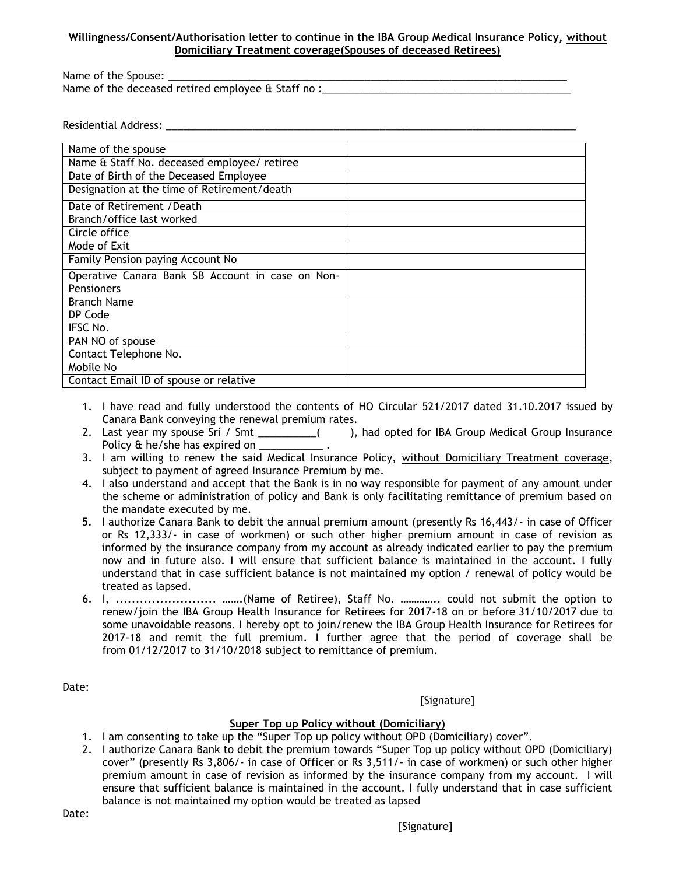### **Willingness/Consent/Authorisation letter to continue in the IBA Group Medical Insurance Policy, without Domiciliary Treatment coverage(Spouses of deceased Retirees)**

Name of the Spouse: Name of the deceased retired employee & Staff no :

Residential Address: \_\_\_\_\_\_\_\_\_\_\_\_\_\_\_\_\_\_\_\_\_\_\_\_\_\_\_\_\_\_\_\_\_\_\_\_\_\_\_\_\_\_\_\_\_\_\_\_\_\_\_\_\_\_\_\_\_\_\_\_\_\_\_\_\_\_\_\_\_\_\_

| Name of the spouse                               |  |
|--------------------------------------------------|--|
| Name & Staff No. deceased employee/ retiree      |  |
| Date of Birth of the Deceased Employee           |  |
| Designation at the time of Retirement/death      |  |
| Date of Retirement /Death                        |  |
| Branch/office last worked                        |  |
| Circle office                                    |  |
| Mode of Exit                                     |  |
| Family Pension paying Account No                 |  |
| Operative Canara Bank SB Account in case on Non- |  |
| Pensioners                                       |  |
| <b>Branch Name</b>                               |  |
| DP Code                                          |  |
| IFSC No.                                         |  |
| PAN NO of spouse                                 |  |
| Contact Telephone No.                            |  |
| Mobile No                                        |  |
| Contact Email ID of spouse or relative           |  |

- 1. I have read and fully understood the contents of HO Circular 521/2017 dated 31.10.2017 issued by Canara Bank conveying the renewal premium rates.
- 2. Last year my spouse Sri / Smt \_\_\_\_\_\_\_\_( ), had opted for IBA Group Medical Group Insurance Policy & he/she has expired on \_\_\_\_\_\_\_\_\_\_\_\_\_\_.
- 3. I am willing to renew the said Medical Insurance Policy, without Domiciliary Treatment coverage, subject to payment of agreed Insurance Premium by me.
- 4. I also understand and accept that the Bank is in no way responsible for payment of any amount under the scheme or administration of policy and Bank is only facilitating remittance of premium based on the mandate executed by me.
- 5. I authorize Canara Bank to debit the annual premium amount (presently Rs 16,443/- in case of Officer or Rs 12,333/- in case of workmen) or such other higher premium amount in case of revision as informed by the insurance company from my account as already indicated earlier to pay the premium now and in future also. I will ensure that sufficient balance is maintained in the account. I fully understand that in case sufficient balance is not maintained my option / renewal of policy would be treated as lapsed.
- 6. I, ......................... …….(Name of Retiree), Staff No. ………….. could not submit the option to renew/join the IBA Group Health Insurance for Retirees for 2017-18 on or before 31/10/2017 due to some unavoidable reasons. I hereby opt to join/renew the IBA Group Health Insurance for Retirees for 2017-18 and remit the full premium. I further agree that the period of coverage shall be from 01/12/2017 to 31/10/2018 subject to remittance of premium.

Date:

[Signature]

### **Super Top up Policy without (Domiciliary)**

- 1. I am consenting to take up the "Super Top up policy without OPD (Domiciliary) cover".
- 2. I authorize Canara Bank to debit the premium towards "Super Top up policy without OPD (Domiciliary) cover" (presently Rs 3,806/- in case of Officer or Rs 3,511/- in case of workmen) or such other higher premium amount in case of revision as informed by the insurance company from my account. I will ensure that sufficient balance is maintained in the account. I fully understand that in case sufficient balance is not maintained my option would be treated as lapsed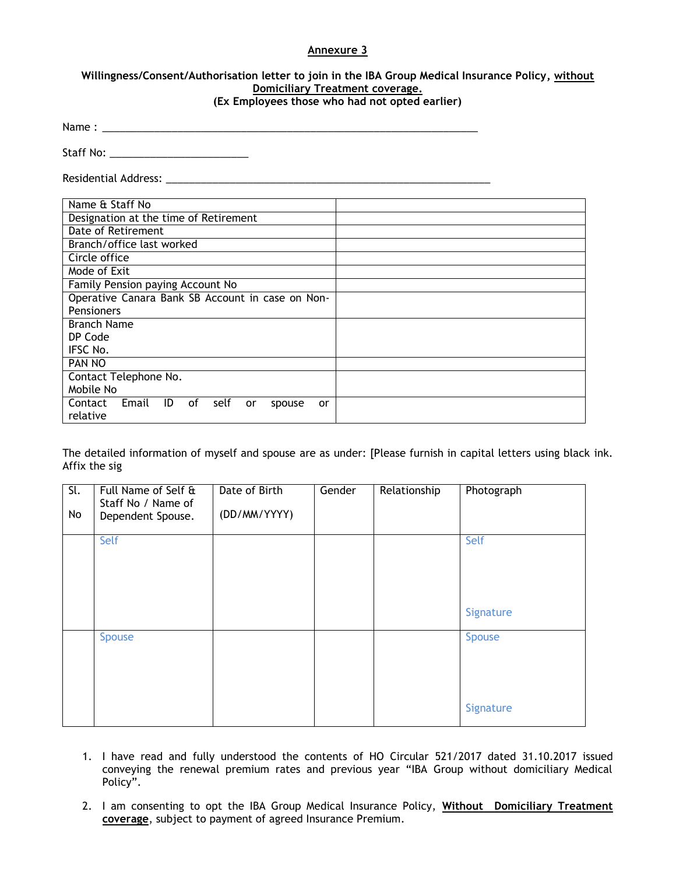#### **Annexure 3**

## **Willingness/Consent/Authorisation letter to join in the IBA Group Medical Insurance Policy, without Domiciliary Treatment coverage.**

**(Ex Employees those who had not opted earlier)**

| Name: |  |  |  |
|-------|--|--|--|
|       |  |  |  |
|       |  |  |  |

Staff No: \_\_\_\_\_\_\_\_\_\_\_\_\_\_\_\_\_\_\_\_\_\_\_\_

Residential Address: \_\_\_\_\_\_\_\_\_\_\_\_\_\_\_\_\_\_\_\_\_\_\_\_\_\_\_\_\_\_\_\_\_\_\_\_\_\_\_\_\_\_\_\_\_\_\_\_\_\_\_\_\_\_\_\_

| Name & Staff No                                            |
|------------------------------------------------------------|
| Designation at the time of Retirement                      |
| Date of Retirement                                         |
| Branch/office last worked                                  |
| Circle office                                              |
| Mode of Exit                                               |
| Family Pension paying Account No                           |
| Operative Canara Bank SB Account in case on Non-           |
| Pensioners                                                 |
| <b>Branch Name</b>                                         |
| DP Code                                                    |
| IFSC No.                                                   |
| <b>PAN NO</b>                                              |
| Contact Telephone No.                                      |
| Mobile No                                                  |
| Email<br>Contact<br>ID<br>self<br>of<br>or<br>spouse<br>or |
| relative                                                   |

The detailed information of myself and spouse are as under: [Please furnish in capital letters using black ink. Affix the sig

| $\overline{\mathsf{SL}}$ | Full Name of Self & | Date of Birth | Gender | Relationship | Photograph |
|--------------------------|---------------------|---------------|--------|--------------|------------|
|                          | Staff No / Name of  |               |        |              |            |
| No                       | Dependent Spouse.   | (DD/MM/YYYY)  |        |              |            |
|                          |                     |               |        |              |            |
|                          | Self                |               |        |              | Self       |
|                          |                     |               |        |              |            |
|                          |                     |               |        |              |            |
|                          |                     |               |        |              |            |
|                          |                     |               |        |              |            |
|                          |                     |               |        |              |            |
|                          |                     |               |        |              | Signature  |
|                          |                     |               |        |              |            |
|                          | <b>Spouse</b>       |               |        |              | Spouse     |
|                          |                     |               |        |              |            |
|                          |                     |               |        |              |            |
|                          |                     |               |        |              |            |
|                          |                     |               |        |              |            |
|                          |                     |               |        |              |            |
|                          |                     |               |        |              |            |
|                          |                     |               |        |              | Signature  |

- 1. I have read and fully understood the contents of HO Circular 521/2017 dated 31.10.2017 issued conveying the renewal premium rates and previous year "IBA Group without domiciliary Medical Policy".
- 2. I am consenting to opt the IBA Group Medical Insurance Policy, **Without Domiciliary Treatment coverage**, subject to payment of agreed Insurance Premium.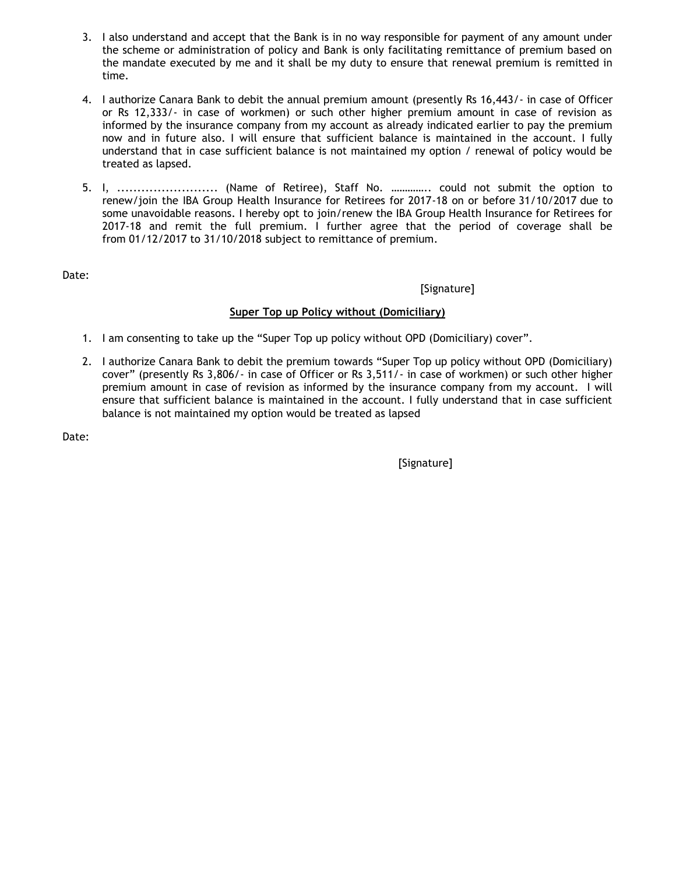- 3. I also understand and accept that the Bank is in no way responsible for payment of any amount under the scheme or administration of policy and Bank is only facilitating remittance of premium based on the mandate executed by me and it shall be my duty to ensure that renewal premium is remitted in time.
- 4. I authorize Canara Bank to debit the annual premium amount (presently Rs 16,443/- in case of Officer or Rs 12,333/- in case of workmen) or such other higher premium amount in case of revision as informed by the insurance company from my account as already indicated earlier to pay the premium now and in future also. I will ensure that sufficient balance is maintained in the account. I fully understand that in case sufficient balance is not maintained my option / renewal of policy would be treated as lapsed.
- 5. I, ......................... (Name of Retiree), Staff No. ………….. could not submit the option to renew/join the IBA Group Health Insurance for Retirees for 2017-18 on or before 31/10/2017 due to some unavoidable reasons. I hereby opt to join/renew the IBA Group Health Insurance for Retirees for 2017-18 and remit the full premium. I further agree that the period of coverage shall be from 01/12/2017 to 31/10/2018 subject to remittance of premium.

Date:

[Signature]

## **Super Top up Policy without (Domiciliary)**

- 1. I am consenting to take up the "Super Top up policy without OPD (Domiciliary) cover".
- 2. I authorize Canara Bank to debit the premium towards "Super Top up policy without OPD (Domiciliary) cover" (presently Rs 3,806/- in case of Officer or Rs 3,511/- in case of workmen) or such other higher premium amount in case of revision as informed by the insurance company from my account. I will ensure that sufficient balance is maintained in the account. I fully understand that in case sufficient balance is not maintained my option would be treated as lapsed

Date:

[Signature]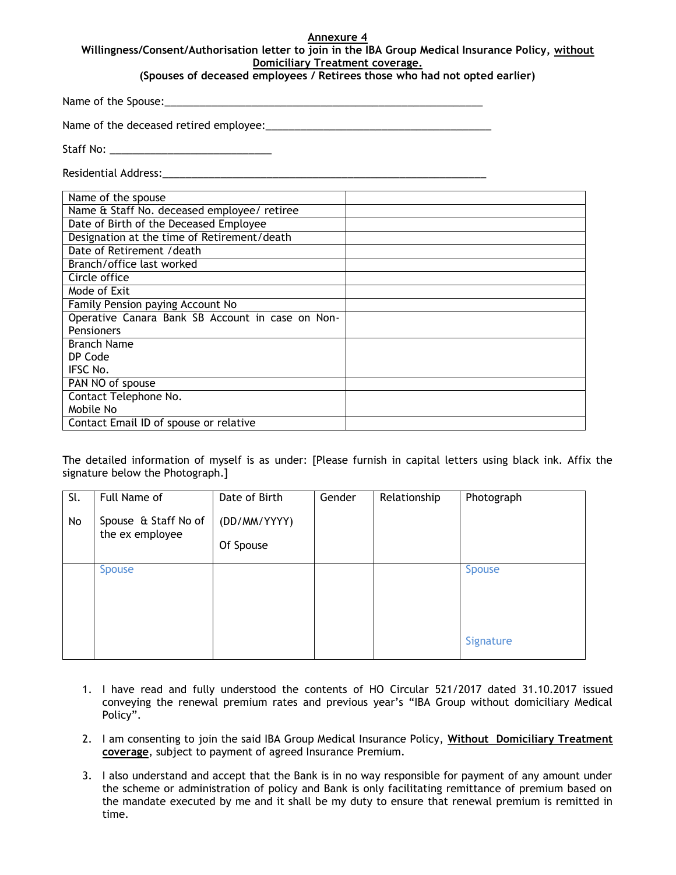#### **Annexure 4 Willingness/Consent/Authorisation letter to join in the IBA Group Medical Insurance Policy, without Domiciliary Treatment coverage.**

### **(Spouses of deceased employees / Retirees those who had not opted earlier)**

Name of the Spouse:

Name of the deceased retired employee:

Staff No: \_\_\_\_\_\_\_\_\_\_\_\_\_\_\_\_\_\_\_\_\_\_\_\_\_\_\_\_

Residential Address:

| Name of the spouse                               |  |
|--------------------------------------------------|--|
| Name & Staff No. deceased employee/ retiree      |  |
| Date of Birth of the Deceased Employee           |  |
| Designation at the time of Retirement/death      |  |
| Date of Retirement / death                       |  |
| Branch/office last worked                        |  |
| Circle office                                    |  |
| Mode of Exit                                     |  |
| Family Pension paying Account No                 |  |
| Operative Canara Bank SB Account in case on Non- |  |
| Pensioners                                       |  |
| <b>Branch Name</b>                               |  |
| DP Code                                          |  |
| IFSC No.                                         |  |
| PAN NO of spouse                                 |  |
| Contact Telephone No.                            |  |
| Mobile No                                        |  |
| Contact Email ID of spouse or relative           |  |

The detailed information of myself is as under: [Please furnish in capital letters using black ink. Affix the signature below the Photograph.]

| Sl.<br>No | Full Name of<br>Spouse & Staff No of<br>the ex employee | Date of Birth<br>(DD/MM/YYYY)<br>Of Spouse | Gender | Relationship | Photograph                 |
|-----------|---------------------------------------------------------|--------------------------------------------|--------|--------------|----------------------------|
|           | <b>Spouse</b>                                           |                                            |        |              | <b>Spouse</b><br>Signature |

- 1. I have read and fully understood the contents of HO Circular 521/2017 dated 31.10.2017 issued conveying the renewal premium rates and previous year's "IBA Group without domiciliary Medical Policy".
- 2. I am consenting to join the said IBA Group Medical Insurance Policy, **Without Domiciliary Treatment coverage**, subject to payment of agreed Insurance Premium.
- 3. I also understand and accept that the Bank is in no way responsible for payment of any amount under the scheme or administration of policy and Bank is only facilitating remittance of premium based on the mandate executed by me and it shall be my duty to ensure that renewal premium is remitted in time.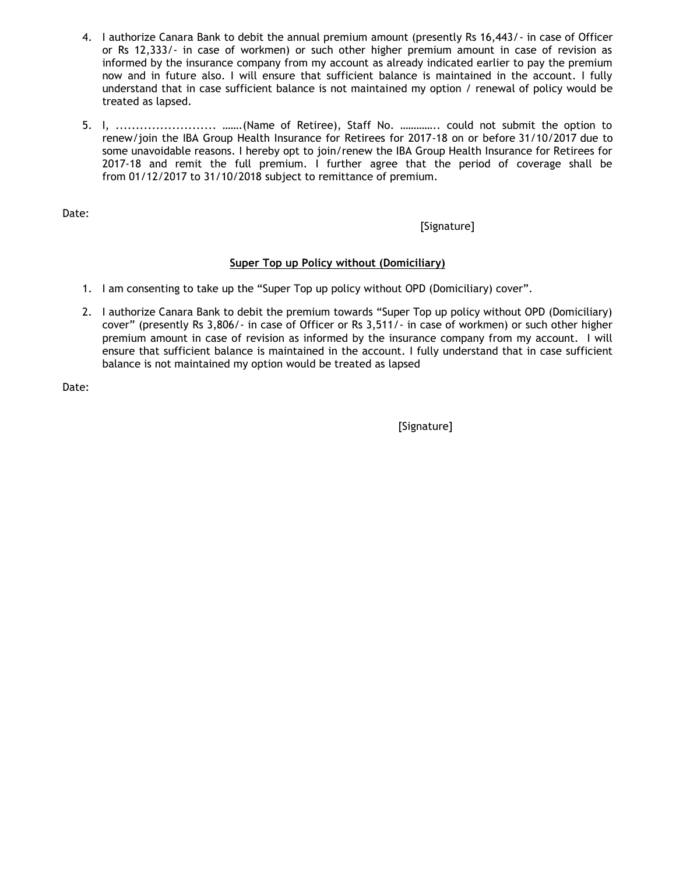- 4. I authorize Canara Bank to debit the annual premium amount (presently Rs 16,443/- in case of Officer or Rs 12,333/- in case of workmen) or such other higher premium amount in case of revision as informed by the insurance company from my account as already indicated earlier to pay the premium now and in future also. I will ensure that sufficient balance is maintained in the account. I fully understand that in case sufficient balance is not maintained my option / renewal of policy would be treated as lapsed.
- 5. I, ......................... …….(Name of Retiree), Staff No. ………….. could not submit the option to renew/join the IBA Group Health Insurance for Retirees for 2017-18 on or before 31/10/2017 due to some unavoidable reasons. I hereby opt to join/renew the IBA Group Health Insurance for Retirees for 2017-18 and remit the full premium. I further agree that the period of coverage shall be from 01/12/2017 to 31/10/2018 subject to remittance of premium.

Date:

### [Signature]

## **Super Top up Policy without (Domiciliary)**

- 1. I am consenting to take up the "Super Top up policy without OPD (Domiciliary) cover".
- 2. I authorize Canara Bank to debit the premium towards "Super Top up policy without OPD (Domiciliary) cover" (presently Rs 3,806/- in case of Officer or Rs 3,511/- in case of workmen) or such other higher premium amount in case of revision as informed by the insurance company from my account. I will ensure that sufficient balance is maintained in the account. I fully understand that in case sufficient balance is not maintained my option would be treated as lapsed

Date:

[Signature]